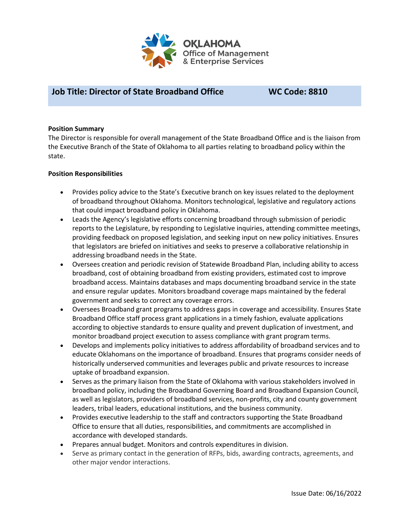

### **Job Title: Director of State Broadband Office WC Code: 8810**

#### **Position Summary**

The Director is responsible for overall management of the State Broadband Office and is the liaison from the Executive Branch of the State of Oklahoma to all parties relating to broadband policy within the state.

#### **Position Responsibilities**

- Provides policy advice to the State's Executive branch on key issues related to the deployment of broadband throughout Oklahoma. Monitors technological, legislative and regulatory actions that could impact broadband policy in Oklahoma.
- Leads the Agency's legislative efforts concerning broadband through submission of periodic reports to the Legislature, by responding to Legislative inquiries, attending committee meetings, providing feedback on proposed legislation, and seeking input on new policy initiatives. Ensures that legislators are briefed on initiatives and seeks to preserve a collaborative relationship in addressing broadband needs in the State.
- Oversees creation and periodic revision of Statewide Broadband Plan, including ability to access broadband, cost of obtaining broadband from existing providers, estimated cost to improve broadband access. Maintains databases and maps documenting broadband service in the state and ensure regular updates. Monitors broadband coverage maps maintained by the federal government and seeks to correct any coverage errors.
- Oversees Broadband grant programs to address gaps in coverage and accessibility. Ensures State Broadband Office staff process grant applications in a timely fashion, evaluate applications according to objective standards to ensure quality and prevent duplication of investment, and monitor broadband project execution to assess compliance with grant program terms.
- Develops and implements policy initiatives to address affordability of broadband services and to educate Oklahomans on the importance of broadband. Ensures that programs consider needs of historically underserved communities and leverages public and private resources to increase uptake of broadband expansion.
- Serves as the primary liaison from the State of Oklahoma with various stakeholders involved in broadband policy, including the Broadband Governing Board and Broadband Expansion Council, as well as legislators, providers of broadband services, non-profits, city and county government leaders, tribal leaders, educational institutions, and the business community.
- Provides executive leadership to the staff and contractors supporting the State Broadband Office to ensure that all duties, responsibilities, and commitments are accomplished in accordance with developed standards.
- Prepares annual budget. Monitors and controls expenditures in division.
- Serve as primary contact in the generation of RFPs, bids, awarding contracts, agreements, and other major vendor interactions.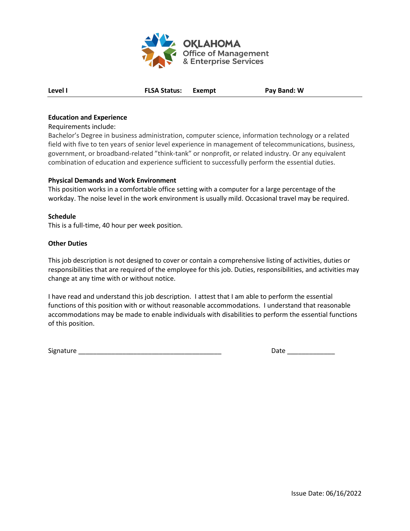

**Level I FLSA Status: Exempt Pay Band: W**

#### **Education and Experience**

#### Requirements include:

Bachelor's Degree in business administration, computer science, information technology or a related field with five to ten years of senior level experience in management of telecommunications, business, government, or broadband-related "think-tank" or nonprofit, or related industry. Or any equivalent combination of education and experience sufficient to successfully perform the essential duties.

#### **Physical Demands and Work Environment**

This position works in a comfortable office setting with a computer for a large percentage of the workday. The noise level in the work environment is usually mild. Occasional travel may be required.

#### **Schedule**

This is a full-time, 40 hour per week position.

#### **Other Duties**

This job description is not designed to cover or contain a comprehensive listing of activities, duties or responsibilities that are required of the employee for this job. Duties, responsibilities, and activities may change at any time with or without notice.

I have read and understand this job description. I attest that I am able to perform the essential functions of this position with or without reasonable accommodations. I understand that reasonable accommodations may be made to enable individuals with disabilities to perform the essential functions of this position.

Signature \_\_\_\_\_\_\_\_\_\_\_\_\_\_\_\_\_\_\_\_\_\_\_\_\_\_\_\_\_\_\_\_\_\_\_\_\_\_\_ Date \_\_\_\_\_\_\_\_\_\_\_\_\_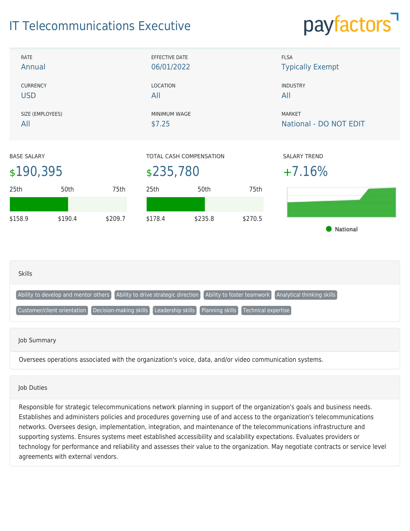## IT Telecommunications Executive

# payfactors



#### Job Duties

Responsible for strategic telecommunications network planning in support of the organization's goals and business needs. Establishes and administers policies and procedures governing use of and access to the organization's telecommunications networks. Oversees design, implementation, integration, and maintenance of the telecommunications infrastructure and supporting systems. Ensures systems meet established accessibility and scalability expectations. Evaluates providers or technology for performance and reliability and assesses their value to the organization. May negotiate contracts or service level agreements with external vendors.